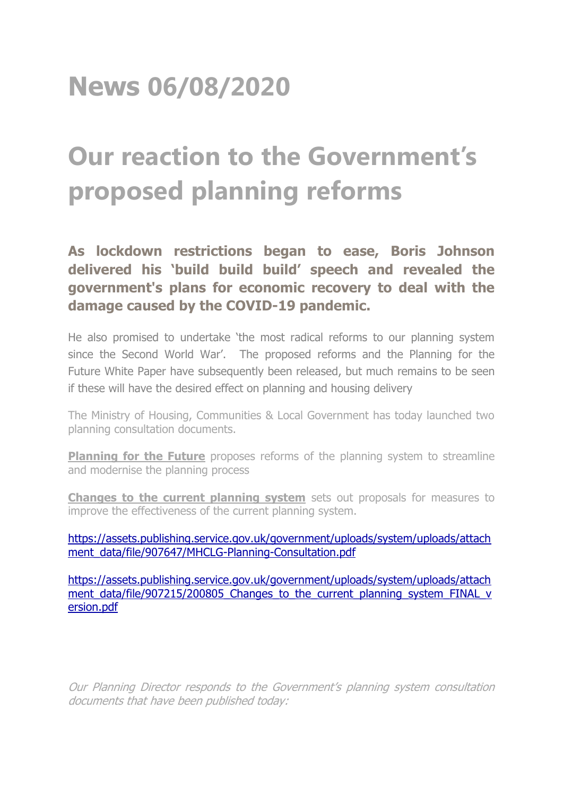## **News 06/08/2020**

## **Our reaction to the Government's proposed planning reforms**

**As lockdown restrictions began to ease, Boris Johnson delivered his 'build build build' speech and revealed the government's plans for economic recovery to deal with the damage caused by the COVID-19 pandemic.**

He also promised to undertake 'the most radical reforms to our planning system since the Second World War'. The proposed reforms and the Planning for the Future White Paper have subsequently been released, but much remains to be seen if these will have the desired effect on planning and housing delivery

The Ministry of Housing, Communities & Local Government has today launched two planning consultation documents.

**Planning for the Future** proposes reforms of the planning system to streamline and modernise the planning process

**Changes to the current planning system** sets out proposals for measures to improve the effectiveness of the current planning system.

[https://assets.publishing.service.gov.uk/government/uploads/system/uploads/attach](https://assets.publishing.service.gov.uk/government/uploads/system/uploads/attachment_data/file/907647/MHCLG-Planning-Consultation.pdf) [ment\\_data/file/907647/MHCLG-Planning-Consultation.pdf](https://assets.publishing.service.gov.uk/government/uploads/system/uploads/attachment_data/file/907647/MHCLG-Planning-Consultation.pdf)

[https://assets.publishing.service.gov.uk/government/uploads/system/uploads/attach](https://assets.publishing.service.gov.uk/government/uploads/system/uploads/attachment_data/file/907215/200805_Changes_to_the_current_planning_system_FINAL_version.pdf) [ment\\_data/file/907215/200805\\_Changes\\_to\\_the\\_current\\_planning\\_system\\_FINAL\\_v](https://assets.publishing.service.gov.uk/government/uploads/system/uploads/attachment_data/file/907215/200805_Changes_to_the_current_planning_system_FINAL_version.pdf) [ersion.pdf](https://assets.publishing.service.gov.uk/government/uploads/system/uploads/attachment_data/file/907215/200805_Changes_to_the_current_planning_system_FINAL_version.pdf)

Our Planning Director responds to the Government's planning system consultation documents that have been published today: